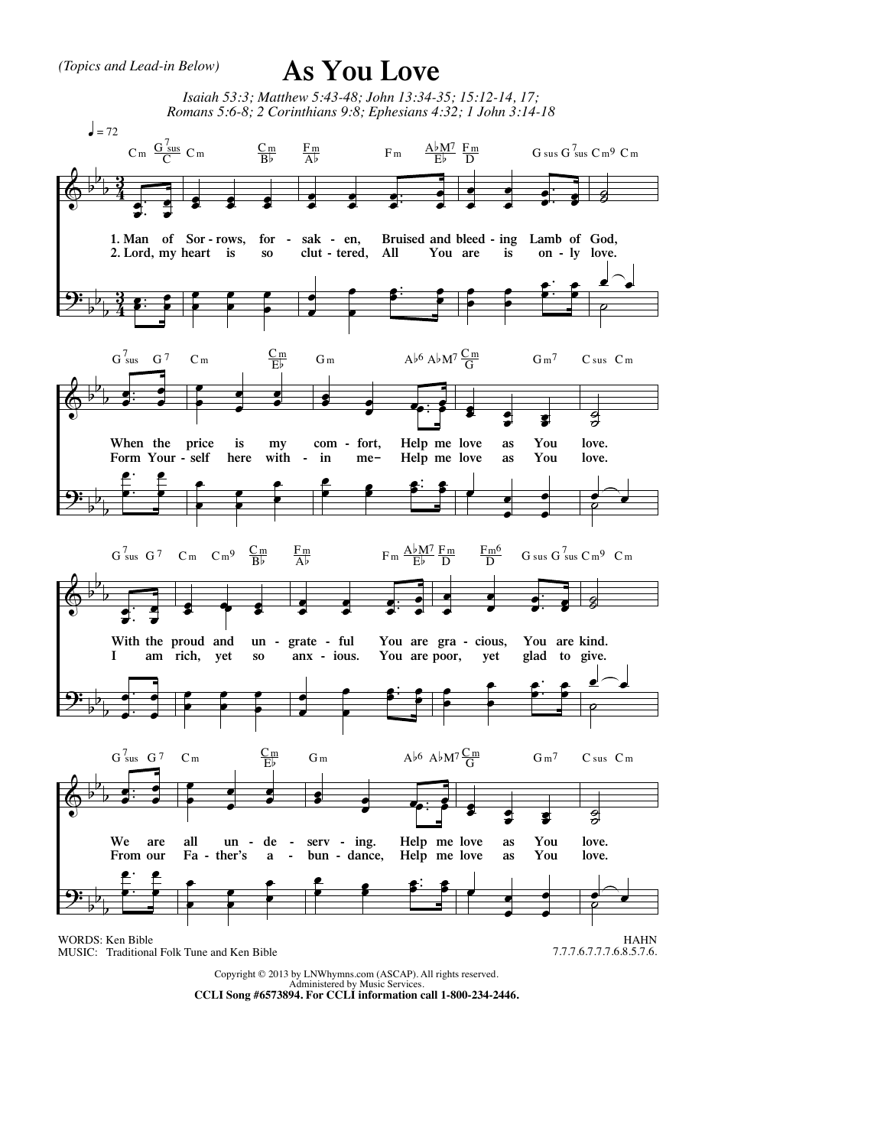*(Topics and Lead-in Below)*

## **As You Love**



Copyright © 2013 by LNWhymns.com (ASCAP). All rights reserved. Administered by Music Services. **CCLI Song #6573894. For CCLI information call 1-800-234-2446.**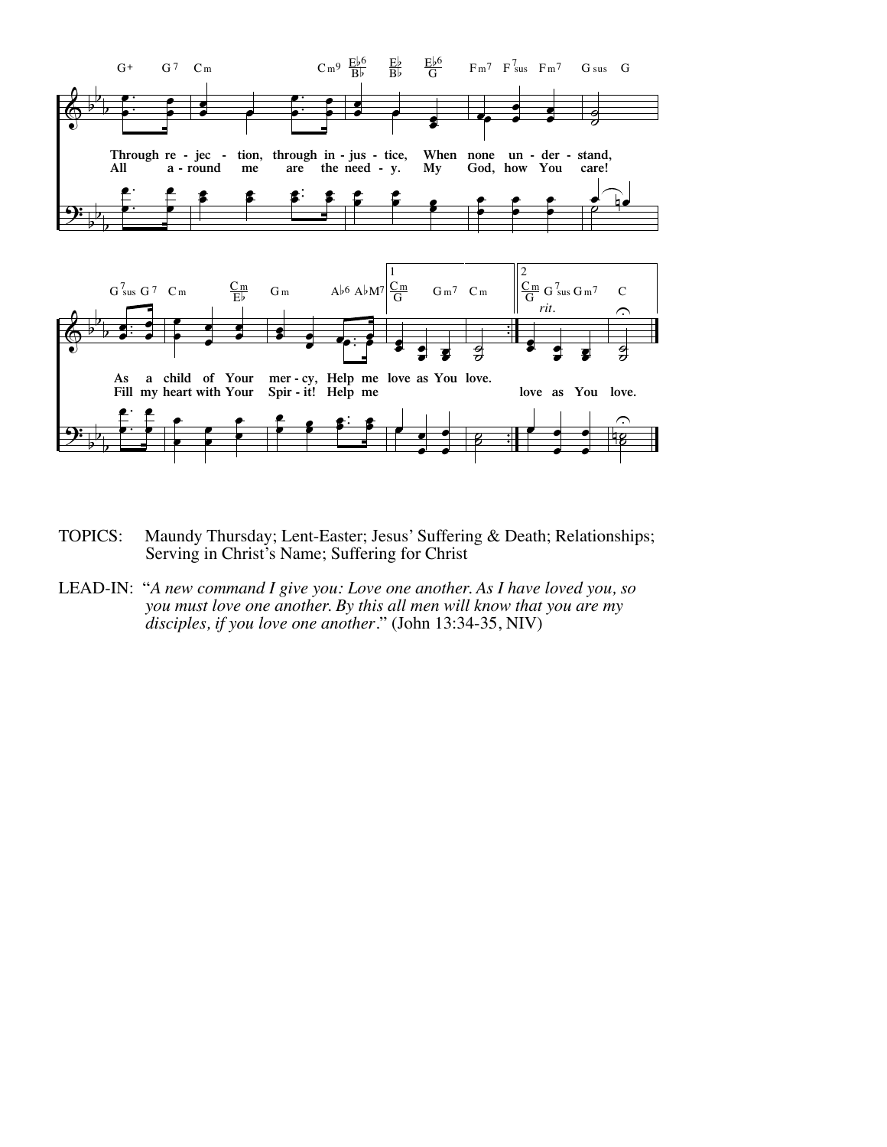

- TOPICS: Maundy Thursday; Lent-Easter; Jesus' Suffering & Death; Relationships; Serving in Christ's Name; Suffering for Christ
- LEAD-IN: "*A new command I give you: Love one another. As I have loved you, so you must love one another. By this all men will know that you are my disciples, if you love one another*." (John 13:34-35, NIV)